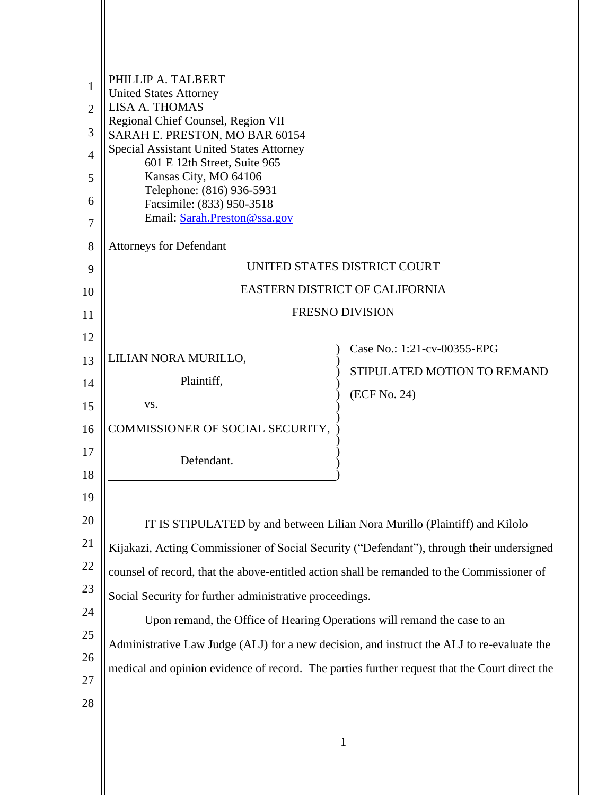| 1<br>$\overline{2}$<br>3<br>4<br>5<br>6<br>7 | PHILLIP A. TALBERT<br><b>United States Attorney</b><br><b>LISA A. THOMAS</b><br>Regional Chief Counsel, Region VII<br>SARAH E. PRESTON, MO BAR 60154<br><b>Special Assistant United States Attorney</b><br>601 E 12th Street, Suite 965<br>Kansas City, MO 64106<br>Telephone: (816) 936-5931<br>Facsimile: (833) 950-3518<br>Email: Sarah.Preston@ssa.gov |                                                                            |  |
|----------------------------------------------|------------------------------------------------------------------------------------------------------------------------------------------------------------------------------------------------------------------------------------------------------------------------------------------------------------------------------------------------------------|----------------------------------------------------------------------------|--|
| 8                                            | <b>Attorneys for Defendant</b>                                                                                                                                                                                                                                                                                                                             |                                                                            |  |
| 9                                            | UNITED STATES DISTRICT COURT                                                                                                                                                                                                                                                                                                                               |                                                                            |  |
| 10                                           | EASTERN DISTRICT OF CALIFORNIA                                                                                                                                                                                                                                                                                                                             |                                                                            |  |
| 11                                           | <b>FRESNO DIVISION</b>                                                                                                                                                                                                                                                                                                                                     |                                                                            |  |
| 12                                           |                                                                                                                                                                                                                                                                                                                                                            | Case No.: 1:21-cv-00355-EPG                                                |  |
| 13                                           | LILIAN NORA MURILLO,                                                                                                                                                                                                                                                                                                                                       | STIPULATED MOTION TO REMAND                                                |  |
| 14                                           | Plaintiff,                                                                                                                                                                                                                                                                                                                                                 | (ECF No. 24)                                                               |  |
| 15                                           | VS.                                                                                                                                                                                                                                                                                                                                                        |                                                                            |  |
| 16                                           | COMMISSIONER OF SOCIAL SECURITY,                                                                                                                                                                                                                                                                                                                           |                                                                            |  |
| 17                                           | Defendant.                                                                                                                                                                                                                                                                                                                                                 |                                                                            |  |
| 18                                           |                                                                                                                                                                                                                                                                                                                                                            |                                                                            |  |
| 19                                           |                                                                                                                                                                                                                                                                                                                                                            |                                                                            |  |
| 20                                           |                                                                                                                                                                                                                                                                                                                                                            | IT IS STIPULATED by and between Lilian Nora Murillo (Plaintiff) and Kilolo |  |
| 21                                           | Kijakazi, Acting Commissioner of Social Security ("Defendant"), through their undersigned                                                                                                                                                                                                                                                                  |                                                                            |  |
| 22                                           | counsel of record, that the above-entitled action shall be remanded to the Commissioner of                                                                                                                                                                                                                                                                 |                                                                            |  |
| 23                                           |                                                                                                                                                                                                                                                                                                                                                            |                                                                            |  |
| 24                                           | Social Security for further administrative proceedings.                                                                                                                                                                                                                                                                                                    |                                                                            |  |
| 25                                           | Upon remand, the Office of Hearing Operations will remand the case to an                                                                                                                                                                                                                                                                                   |                                                                            |  |
| 26                                           | Administrative Law Judge (ALJ) for a new decision, and instruct the ALJ to re-evaluate the                                                                                                                                                                                                                                                                 |                                                                            |  |
| 27                                           | medical and opinion evidence of record. The parties further request that the Court direct the                                                                                                                                                                                                                                                              |                                                                            |  |
| 28                                           |                                                                                                                                                                                                                                                                                                                                                            |                                                                            |  |
|                                              |                                                                                                                                                                                                                                                                                                                                                            |                                                                            |  |
|                                              |                                                                                                                                                                                                                                                                                                                                                            | $\mathbf{1}$                                                               |  |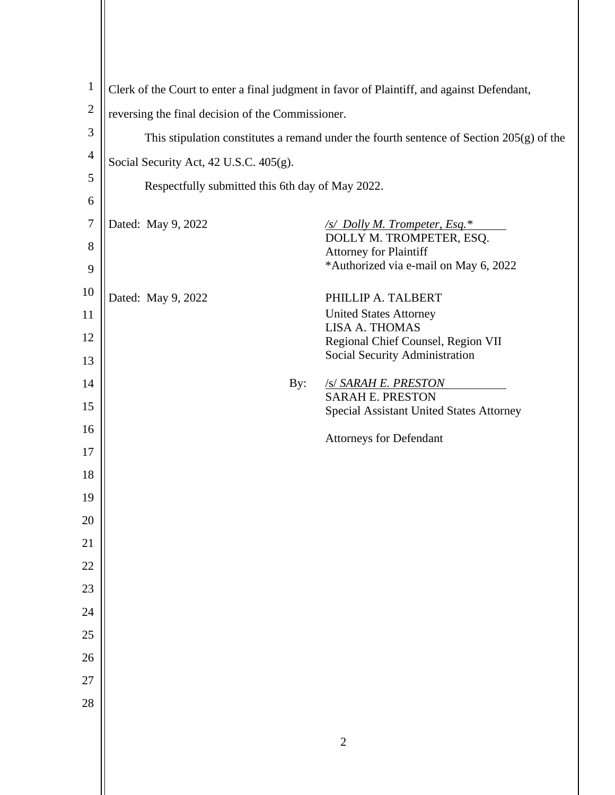| $\mathbf{1}$   | Clerk of the Court to enter a final judgment in favor of Plaintiff, and against Defendant, |                                                                        |  |
|----------------|--------------------------------------------------------------------------------------------|------------------------------------------------------------------------|--|
| $\overline{2}$ | reversing the final decision of the Commissioner.                                          |                                                                        |  |
| 3              | This stipulation constitutes a remand under the fourth sentence of Section $205(g)$ of the |                                                                        |  |
| $\overline{4}$ | Social Security Act, 42 U.S.C. 405(g).                                                     |                                                                        |  |
| 5              | Respectfully submitted this 6th day of May 2022.                                           |                                                                        |  |
| 6              |                                                                                            |                                                                        |  |
| $\overline{7}$ | Dated: May 9, 2022                                                                         | /s/ Dolly M. Trompeter, Esq.*<br>DOLLY M. TROMPETER, ESQ.              |  |
| 8              |                                                                                            | <b>Attorney for Plaintiff</b><br>*Authorized via e-mail on May 6, 2022 |  |
| 9              |                                                                                            |                                                                        |  |
| 10             | Dated: May 9, 2022                                                                         | PHILLIP A. TALBERT                                                     |  |
| 11             |                                                                                            | <b>United States Attorney</b><br><b>LISA A. THOMAS</b>                 |  |
| 12             |                                                                                            | Regional Chief Counsel, Region VII<br>Social Security Administration   |  |
| 13<br>14       | By:                                                                                        | <b>SARAH E. PRESTON</b>                                                |  |
| 15             |                                                                                            | <b>SARAH E. PRESTON</b>                                                |  |
| 16             |                                                                                            | <b>Special Assistant United States Attorney</b>                        |  |
| 17             |                                                                                            | <b>Attorneys for Defendant</b>                                         |  |
| 18             |                                                                                            |                                                                        |  |
| 19             |                                                                                            |                                                                        |  |
| 20             |                                                                                            |                                                                        |  |
| 21             |                                                                                            |                                                                        |  |
| 22             |                                                                                            |                                                                        |  |
| 23             |                                                                                            |                                                                        |  |
| 24             |                                                                                            |                                                                        |  |
| 25             |                                                                                            |                                                                        |  |
| 26             |                                                                                            |                                                                        |  |
| 27             |                                                                                            |                                                                        |  |
| 28             |                                                                                            |                                                                        |  |
|                |                                                                                            |                                                                        |  |
|                |                                                                                            | $\mathbf{2}$                                                           |  |